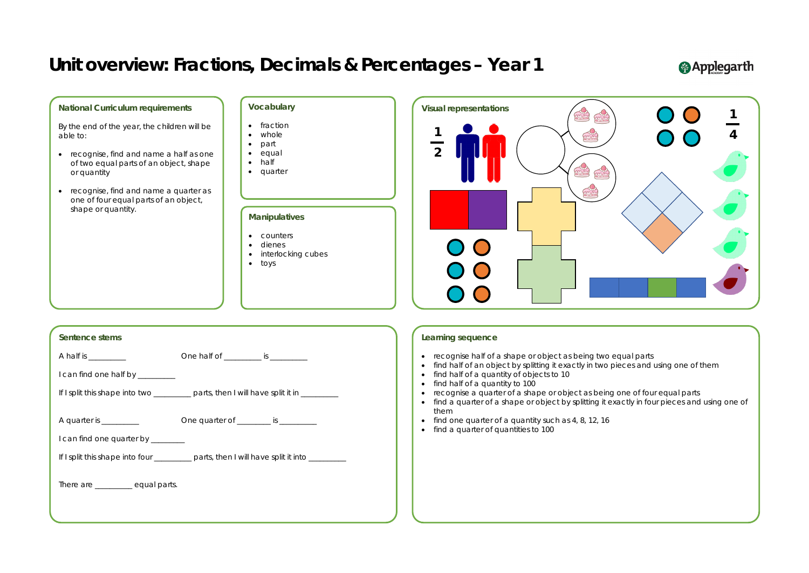### **Sentence stems**

A half is \_\_\_\_\_\_\_\_\_\_ One half of \_\_\_\_\_\_\_\_\_\_ is \_\_\_\_\_\_\_\_\_\_

I can find one half by \_\_\_\_\_\_\_\_

If I split this shape into two \_\_\_\_\_\_\_\_\_ parts, then I will have split it in \_\_\_\_\_\_\_\_

A quarter is \_\_\_\_\_\_\_\_\_\_ One quarter of \_\_\_\_\_\_\_\_\_ is \_\_\_\_\_\_\_\_\_\_

I can find one quarter by \_\_\_\_\_\_\_\_

If I split this shape into four \_\_\_\_\_\_\_\_\_ parts, then I will have split it into \_\_\_\_\_\_\_

There are \_\_\_\_\_\_\_\_ equal parts.

- recognise half of a shape or object as being two equal parts
- find half of an object by splitting it exactly in two pieces and using one of them
- find half of a quantity of objects to 10
- find half of a quantity to 100
- recognise a quarter of a shape or object as being one of four equal parts
- find a quarter of a shape or object by splitting it exactly in four pieces and using one of them
- find one quarter of a quantity such as 4, 8, 12, 16
- find a quarter of quantities to 100



#### **National Curriculum requirements**

By the end of the year, the children will be able to:

- recognise, find and name a half as one of two equal parts of an object, shape or quantity
- recognise, find and name a quarter as one of four equal parts of an object, shape or quantity.

### **Learning sequence**

### **Vocabulary**

#### • fraction

- whole
- part
- equal
- half
- quarter

### **Manipulatives**

- counters
- dienes
- interlocking cubes
- toys

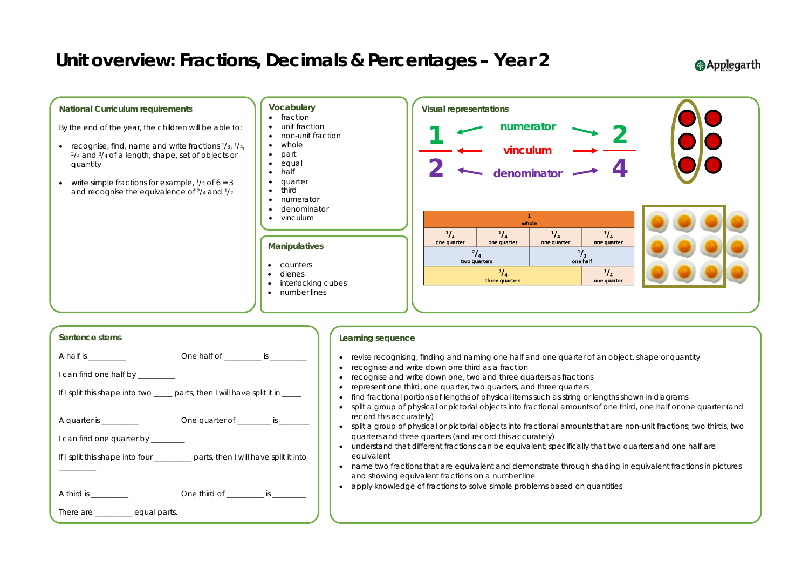

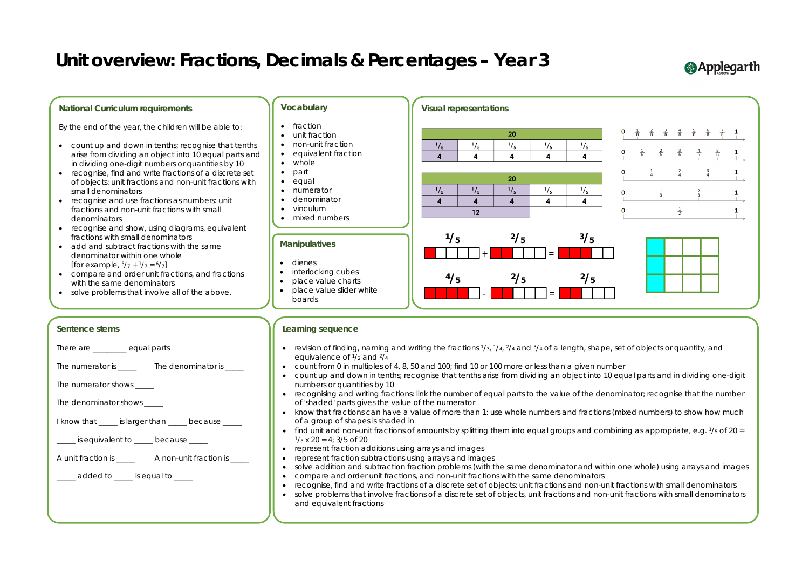

### **Applegarth**

- 
- 
- 
- 
- 
- 
-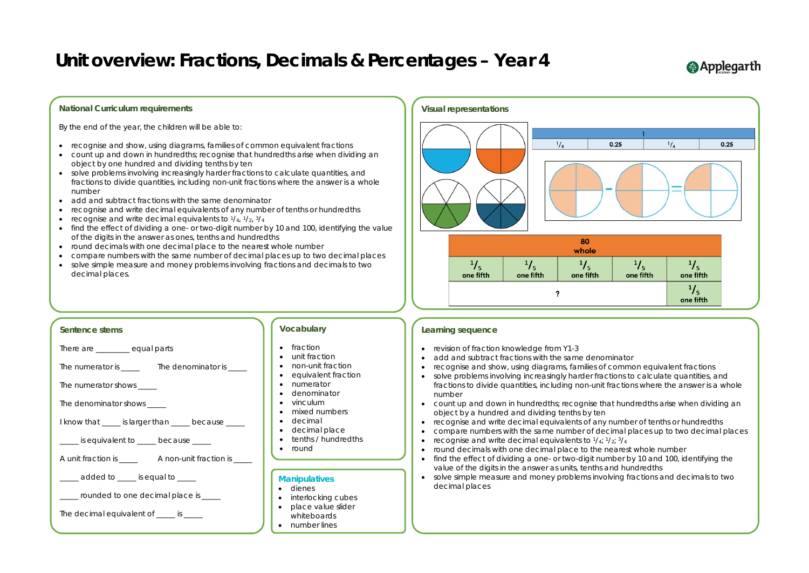### **National Curriculum requirements**

By the end of the year, the children will be able to:

- recognise and show, using diagrams, families of common equivalent fractions
- count up and down in hundredths; recognise that hundredths arise when dividing an object by one hundred and dividing tenths by ten
- solve problems involving increasingly harder fractions to calculate quantities, and fractions to divide quantities, including non-unit fractions where the answer is a whole number
- add and subtract fractions with the same denominator
- recognise and write decimal equivalents of any number of tenths or hundredths
- recognise and write decimal equivalents to  $\frac{1}{4}$ ,  $\frac{1}{2}$ ,  $\frac{3}{4}$
- find the effect of dividing a one- or two-digit number by 10 and 100, identifying the value of the digits in the answer as ones, tenths and hundredths
- round decimals with one decimal place to the nearest whole number
- compare numbers with the same number of decimal places up to two decimal places
- solve simple measure and money problems involving fractions and decimals to two decimal places.



### **Learning sequence**

- revision of fraction knowledge from Y1-3
- add and subtract fractions with the same denominator
- recognise and show, using diagrams, families of common equivalent fractions
- solve problems involving increasingly harder fractions to calculate quantities, and fractions to divide quantities, including non-unit fractions where the answer is a whole number
- count up and down in hundredths; recognise that hundredths arise when dividing an object by a hundred and dividing tenths by ten
- recognise and write decimal equivalents of any number of tenths or hundredths • compare numbers with the same number of decimal places up to two decimal places • recognise and write decimal equivalents to  $\frac{1}{4}$ ;  $\frac{1}{2}$ ;  $\frac{3}{4}$
- 
- 
- round decimals with one decimal place to the nearest whole number
- find the effect of dividing a one- or two-digit number by 10 and 100, identifying the value of the digits in the answer as units, tenths and hundredths
- solve simple measure and money problems involving fractions and decimals to two decimal places

### **Applegarth**



There are **Exercise Equal parts** 

The numerator is \_\_\_\_\_ The denominator is \_\_\_\_

The numerator shows

The denominator shows \_\_\_\_\_

I know that \_\_\_\_\_ is larger than \_\_\_\_\_ because \_\_\_\_\_

 $\frac{1}{2}$  is equivalent to  $\frac{1}{2}$  because  $\frac{1}{2}$ 



 $\frac{1}{2}$  added to  $\frac{1}{2}$  is equal to  $\frac{1}{2}$ 

\_\_\_\_\_ rounded to one decimal place is \_\_\_\_\_

The decimal equivalent of \_\_\_\_\_ is \_\_\_\_\_

### **Vocabulary**

- fraction
- unit fraction
- non-unit fraction
- equivalent fraction
- numerator
- denominator
- vinculum
- mixed numbers
- decimal
- decimal place
- tenths / hundredths
- round

### **Manipulatives**

- dienes
- interlocking cubes
- place value slider
- whiteboards
- number lines

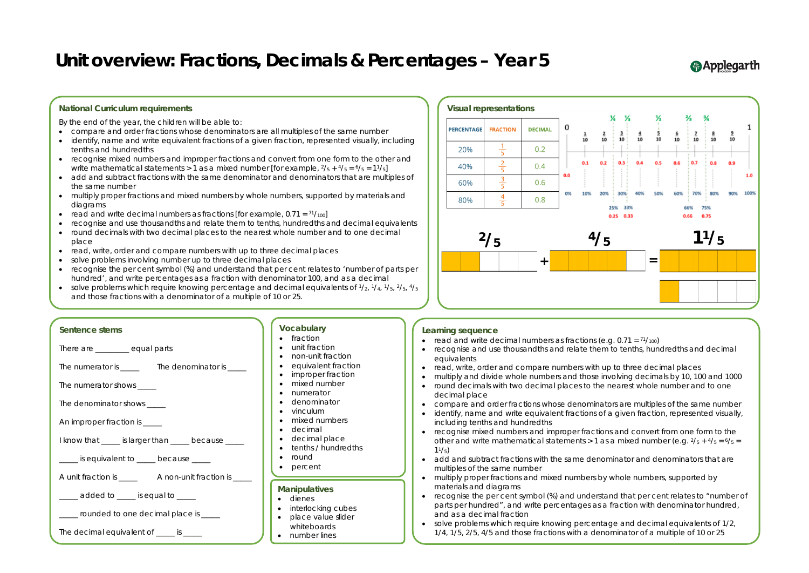### **Learning sequence**

- read and write decimal numbers as fractions (e.g.  $0.71 = \frac{71}{100}$ )
- recognise and use thousandths and relate them to tenths, hundredths and decimal equivalents
- read, write, order and compare numbers with up to three decimal places
- 
- multiply and divide whole numbers and those involving decimals by 10, 100 and 1000 • round decimals with two decimal places to the nearest whole number and to one decimal place
- compare and order fractions whose denominators are multiples of the same number • identify, name and write equivalent fractions of a given fraction, represented visually,
- including tenths and hundredths
- recognise mixed numbers and improper fractions and convert from one form to the other and write mathematical statements  $> 1$  as a mixed number (e.g.  $\frac{2}{5} + \frac{4}{5} = \frac{6}{5} =$  $11/5$ )
- add and subtract fractions with the same denominator and denominators that are multiples of the same number
- multiply proper fractions and mixed numbers by whole numbers, supported by materials and diagrams
- recognise the per cent symbol (%) and understand that per cent relates to "number of parts per hundred", and write percentages as a fraction with denominator hundred, and as a decimal fraction
- solve problems which require knowing percentage and decimal equivalents of 1/2, 1/4, 1/5, 2/5, 4/5 and those fractions with a denominator of a multiple of 10 or 25

**@Applegarth** 



| Sentence stems |  |
|----------------|--|
|                |  |

There are **Exercise Exercise Exercise Sequal parts** 

The numerator is \_\_\_\_\_\_ The denominator is \_\_\_\_\_

The numerator shows

The denominator shows

An improper fraction is \_\_\_\_\_

I know that \_\_\_\_\_ is larger than \_\_\_\_\_ because \_\_\_\_\_

is equivalent to decause

A unit fraction is equal a non-unit fraction is  $\overline{a}$ 

added to  $\qquad \qquad$  is equal to

rounded to one decimal place is

The decimal equivalent of  $\qquad \qquad$  is

### **Vocabulary**

- fraction
- unit fraction
- non-unit fraction
- equivalent fraction
- improper fraction
- mixed number
- numerator
- denominator
- vinculum
- mixed numbers
- decimal
- decimal place
- tenths / hundredths
- round
- percent

### **Manipulatives**

- dienes
- interlocking cubes
- place value slider
- whiteboards
- number lines

### **National Curriculum requirements**

By the end of the year, the children will be able to:

- compare and order fractions whose denominators are all multiples of the same number
- identify, name and write equivalent fractions of a given fraction, represented visually, including tenths and hundredths
- recognise mixed numbers and improper fractions and convert from one form to the other and write mathematical statements > 1 as a mixed number [for example,  $2/5 + 4/5 = 6/5 = 11/5$ ]
- add and subtract fractions with the same denominator and denominators that are multiples of the same number
- multiply proper fractions and mixed numbers by whole numbers, supported by materials and diagrams
- read and write decimal numbers as fractions [for example,  $0.71 = \frac{71}{100}$ ]
- recognise and use thousandths and relate them to tenths, hundredths and decimal equivalents
- round decimals with two decimal places to the nearest whole number and to one decimal place
- read, write, order and compare numbers with up to three decimal places
- solve problems involving number up to three decimal places
- recognise the per cent symbol (%) and understand that per cent relates to 'number of parts per hundred', and write percentages as a fraction with denominator 100, and as a decimal
- solve problems which require knowing percentage and decimal equivalents of  $\frac{1}{2}$ ,  $\frac{1}{4}$ ,  $\frac{1}{5}$ ,  $\frac{2}{5}$ ,  $\frac{4}{5}$ and those fractions with a denominator of a multiple of 10 or 25.

#### **Visual representations**  $\mathbf 0$ PERCENTAGE **FRACTION DECIMAL**  $\frac{1}{5}$ 20%  $0.2$  $\frac{2}{5}$  $0.1 0.2$ 40%  $0.4$  $0.0$  $\frac{3}{5}$ 60%  $0.6$ O%  $\frac{4}{1}$  $0.8$ 80% **2/5 4/5 11/5+ =**